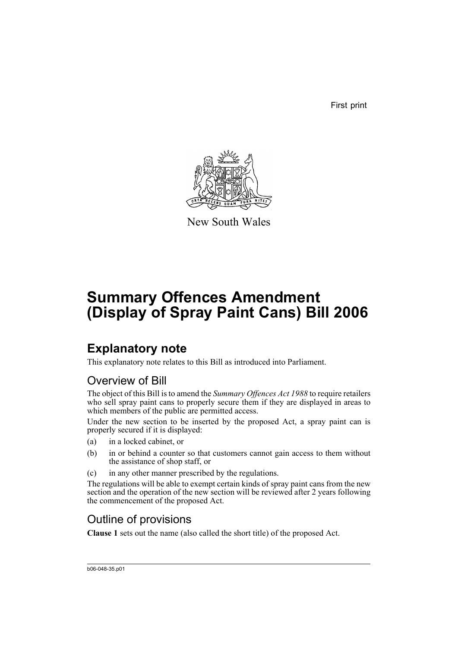First print



New South Wales

# **Summary Offences Amendment (Display of Spray Paint Cans) Bill 2006**

## **Explanatory note**

This explanatory note relates to this Bill as introduced into Parliament.

#### Overview of Bill

The object of this Bill is to amend the *Summary Offences Act 1988* to require retailers who sell spray paint cans to properly secure them if they are displayed in areas to which members of the public are permitted access.

Under the new section to be inserted by the proposed Act, a spray paint can is properly secured if it is displayed:

- (a) in a locked cabinet, or
- (b) in or behind a counter so that customers cannot gain access to them without the assistance of shop staff, or
- (c) in any other manner prescribed by the regulations.

The regulations will be able to exempt certain kinds of spray paint cans from the new section and the operation of the new section will be reviewed after 2 years following the commencement of the proposed Act.

### Outline of provisions

**Clause 1** sets out the name (also called the short title) of the proposed Act.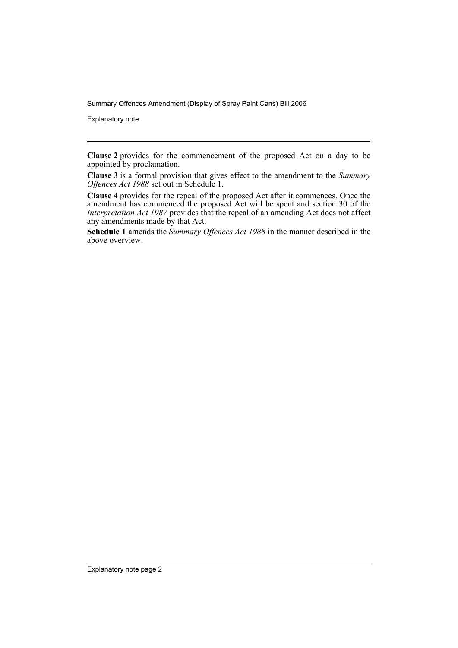Summary Offences Amendment (Display of Spray Paint Cans) Bill 2006

Explanatory note

**Clause 2** provides for the commencement of the proposed Act on a day to be appointed by proclamation.

**Clause 3** is a formal provision that gives effect to the amendment to the *Summary Offences Act 1988* set out in Schedule 1.

**Clause 4** provides for the repeal of the proposed Act after it commences. Once the amendment has commenced the proposed Act will be spent and section 30 of the *Interpretation Act 1987* provides that the repeal of an amending Act does not affect any amendments made by that Act.

**Schedule 1** amends the *Summary Offences Act 1988* in the manner described in the above overview.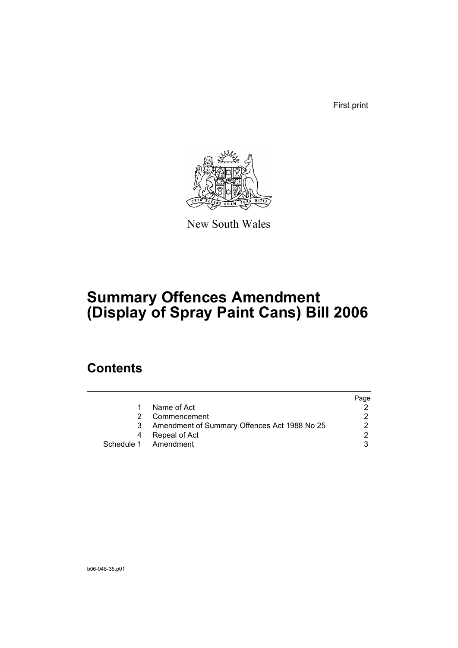First print



New South Wales

# **Summary Offences Amendment (Display of Spray Paint Cans) Bill 2006**

## **Contents**

|                                              | Page |
|----------------------------------------------|------|
| Name of Act                                  |      |
| Commencement                                 |      |
| Amendment of Summary Offences Act 1988 No 25 |      |
| Repeal of Act                                |      |
| Schedule 1 Amendment                         |      |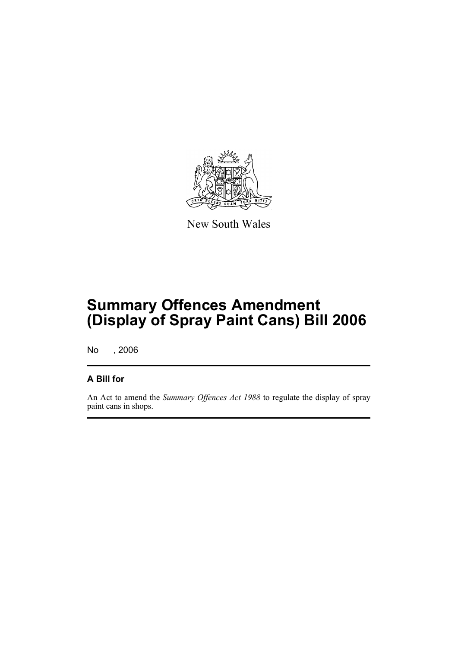

New South Wales

## **Summary Offences Amendment (Display of Spray Paint Cans) Bill 2006**

No , 2006

#### **A Bill for**

An Act to amend the *Summary Offences Act 1988* to regulate the display of spray paint cans in shops.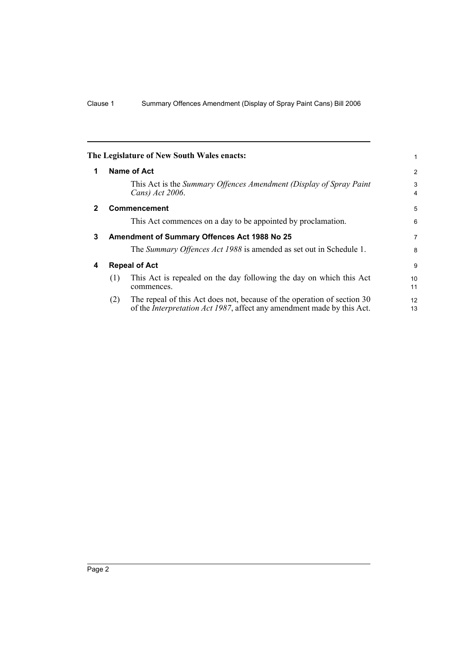|              | The Legislature of New South Wales enacts:                                                                                                                       | 1                     |
|--------------|------------------------------------------------------------------------------------------------------------------------------------------------------------------|-----------------------|
| 1            | Name of Act                                                                                                                                                      | 2                     |
|              | This Act is the Summary Offences Amendment (Display of Spray Paint<br>Cans) Act 2006.                                                                            | 3<br>$\overline{4}$   |
| $\mathbf{2}$ | <b>Commencement</b>                                                                                                                                              | 5                     |
|              | This Act commences on a day to be appointed by proclamation.                                                                                                     | 6                     |
| 3            | Amendment of Summary Offences Act 1988 No 25                                                                                                                     |                       |
|              | The Summary Offences Act 1988 is amended as set out in Schedule 1.                                                                                               | 8                     |
| 4            | <b>Repeal of Act</b>                                                                                                                                             |                       |
|              | This Act is repealed on the day following the day on which this Act<br>(1)<br>commences.                                                                         | 10 <sup>1</sup><br>11 |
|              | The repeal of this Act does not, because of the operation of section 30<br>(2)<br>of the <i>Interpretation Act 1987</i> , affect any amendment made by this Act. | 12<br>13              |